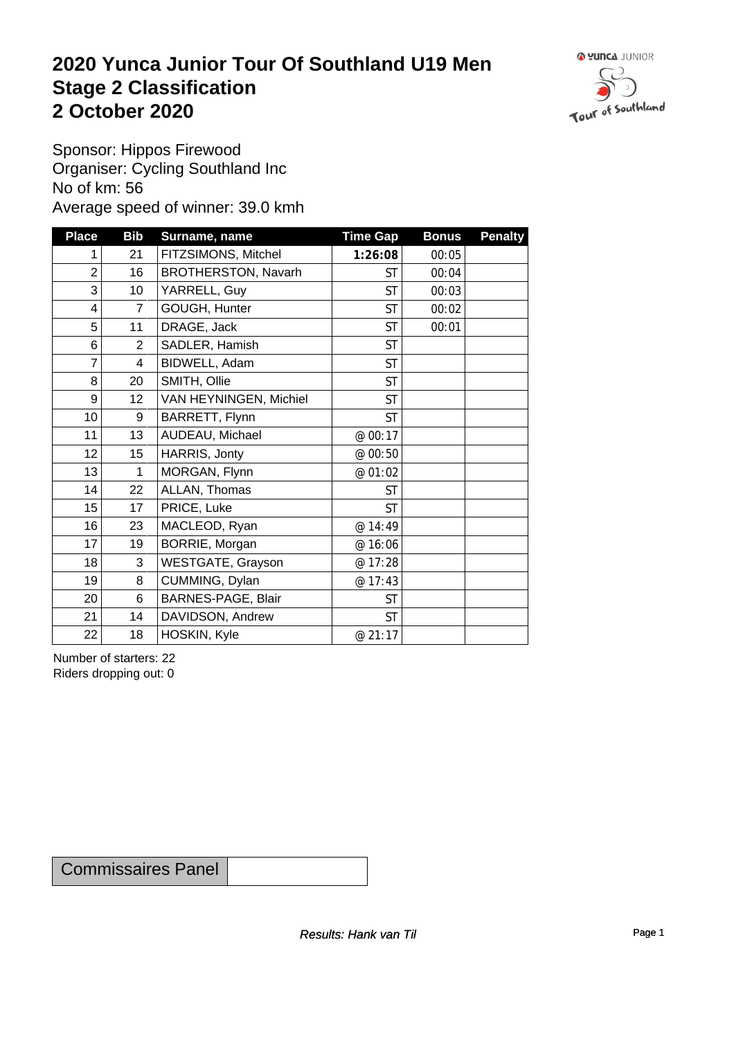### **2020 Yunca Junior Tour Of Southland U19 Men** Stage 2 Classification<br>
2 October 2020 **2 October 2020**



Sponsor: Hippos Firewood Organiser: Cycling Southland Inc No of km: 56 Average speed of winner: 39.0 kmh

| <b>Place</b>     | <b>Bib</b>       | Surname, name          | <b>Time Gap</b> | <b>Bonus</b> | <b>Penalty</b> |
|------------------|------------------|------------------------|-----------------|--------------|----------------|
| 1                | 21               | FITZSIMONS, Mitchel    | 1:26:08         | 00:05        |                |
| $\overline{c}$   | 16               | BROTHERSTON, Navarh    | <b>ST</b>       | 00:04        |                |
| 3                | 10 <sup>1</sup>  | YARRELL, Guy           | <b>ST</b>       | 00:03        |                |
| 4                | $\overline{7}$   | GOUGH, Hunter          | <b>ST</b>       | 00:02        |                |
| 5                | 11               | DRAGE, Jack            | <b>ST</b>       | 00:01        |                |
| $\,6\,$          | $\overline{2}$   | SADLER, Hamish         | <b>ST</b>       |              |                |
| $\overline{7}$   | 4                | BIDWELL, Adam          | <b>ST</b>       |              |                |
| 8                | 20               | SMITH, Ollie           | <b>ST</b>       |              |                |
| $9\,$            | 12 <sub>2</sub>  | VAN HEYNINGEN, Michiel | <b>ST</b>       |              |                |
| 10 <sup>1</sup>  | 9                | BARRETT, Flynn         | <b>ST</b>       |              |                |
| 11               | 13               | AUDEAU, Michael        | @ 00:17         |              |                |
| 12 <sup>°</sup>  | 15 <sub>15</sub> | HARRIS, Jonty          | @ 00:50         |              |                |
| 13               | 1                | MORGAN, Flynn          | @ 01:02         |              |                |
| 14               | 22               | ALLAN, Thomas          | <b>ST</b>       |              |                |
| 15 <sub>15</sub> | 17               | PRICE, Luke            | <b>ST</b>       |              |                |
| 16               | 23               | MACLEOD, Ryan          | @ 14:49         |              |                |
| 17               | 19               | BORRIE, Morgan         | @ 16:06         |              |                |
| 18               | 3                | WESTGATE, Grayson      | @ 17:28         |              |                |
| 19               | 8                | CUMMING, Dylan         | @ 17:43         |              |                |
| 20               | 6                | BARNES-PAGE, Blair     | <b>ST</b>       |              |                |
| 21               | 14               | DAVIDSON, Andrew       | <b>ST</b>       |              |                |
| 22               | 18               | HOSKIN, Kyle           | @ 21:17         |              |                |

Number of starters: 22 Riders dropping out: 0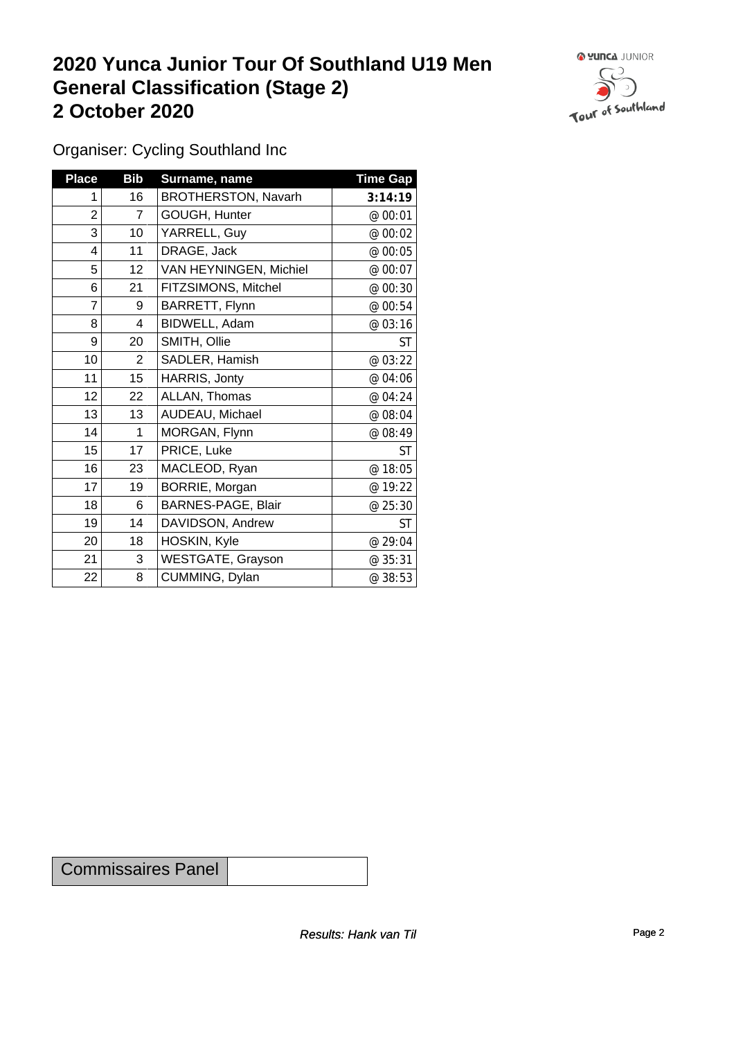## **2020 Yunca Junior Tour Of Southland U19 Men General Classification (Stage 2)**<br>
2 October 2020 **2 October 2020**



Organiser: Cycling Southland Inc

| <b>Place</b>   | <b>Bib</b>      | Surname, name          | <b>Time Gap</b> |
|----------------|-----------------|------------------------|-----------------|
| 1              | 16              | BROTHERSTON, Navarh    | 3:14:19         |
| $\overline{c}$ | $\overline{7}$  | GOUGH, Hunter          | @ 00:01         |
| 3              | 10 <sup>1</sup> | YARRELL, Guy           | @ 00:02         |
| 4              | 11              | DRAGE, Jack            | @ 00:05         |
| 5              | 12 <sub>2</sub> | VAN HEYNINGEN, Michiel | @ 00:07         |
| 6              | 21              | FITZSIMONS, Mitchel    | @ 00:30         |
| 7              | 9               | BARRETT, Flynn         | @ 00:54         |
| $\bf 8$        | 4               | BIDWELL, Adam          | @ 03:16         |
| 9              | 20              | SMITH, Ollie           | <b>ST</b>       |
| 10             | $\overline{2}$  | SADLER, Hamish         | @ 03:22         |
| 11             | 15              | HARRIS, Jonty          | @ 04:06         |
| 12             | 22              | ALLAN, Thomas          | @ 04:24         |
| 13             | 13              | AUDEAU, Michael        | @ 08:04         |
| 14             | 1               | MORGAN, Flynn          | @ 08:49         |
| 15             | 17              | PRICE, Luke            | <b>ST</b>       |
| 16             | 23              | MACLEOD, Ryan          | @ 18:05         |
| 17             | 19              | BORRIE, Morgan         | @ 19:22         |
| 18             | 6               | BARNES-PAGE, Blair     | @ 25:30         |
| 19             | 14              | DAVIDSON, Andrew       | <b>ST</b>       |
| 20             | 18              | HOSKIN, Kyle           | @ 29:04         |
| 21             | 3               | WESTGATE, Grayson      | @ 35:31         |
| 22             | 8               | CUMMING, Dylan         | @ 38:53         |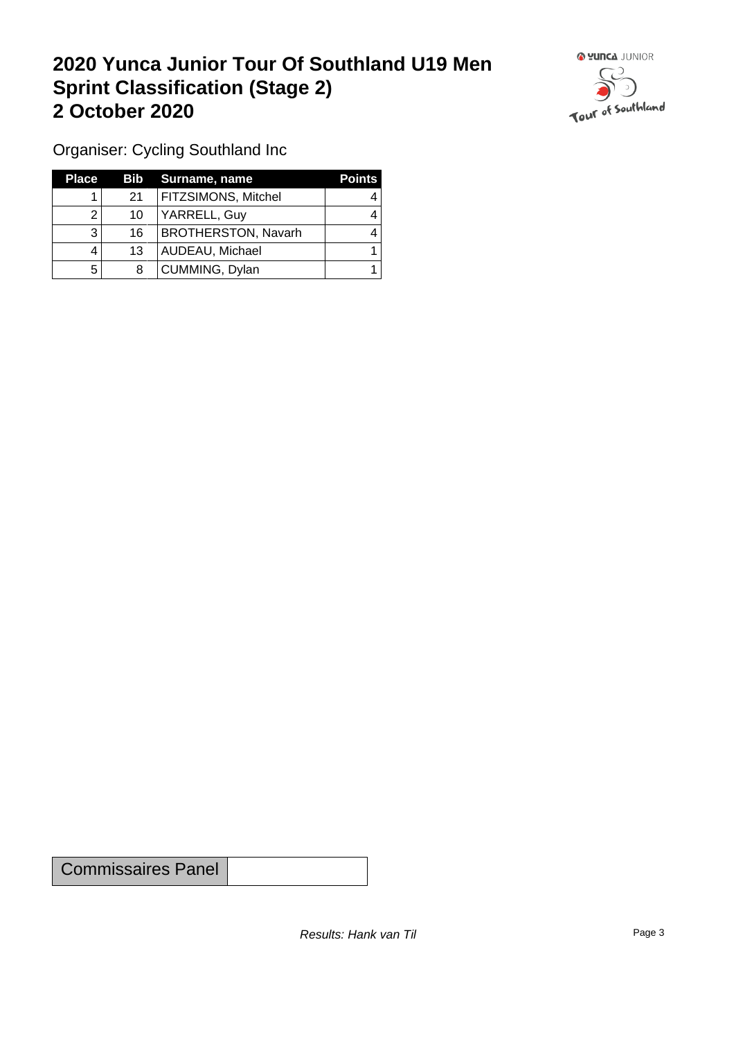## **2020 Yunca Junior Tour Of Southland U19 Men Sprint Classification (Stage 2) 2 October 2020**



Organiser: Cycling Southland Inc

| <b>Place</b> |                 | <b>Bib</b> Surname, name   | <b>Points</b> |
|--------------|-----------------|----------------------------|---------------|
|              | 21              | FITZSIMONS, Mitchel        |               |
|              | 10              | YARRELL, Guy               |               |
|              | 16 <sup>1</sup> | <b>BROTHERSTON, Navarh</b> |               |
|              | 13              | AUDEAU, Michael            |               |
| b            | 8               | CUMMING, Dylan             |               |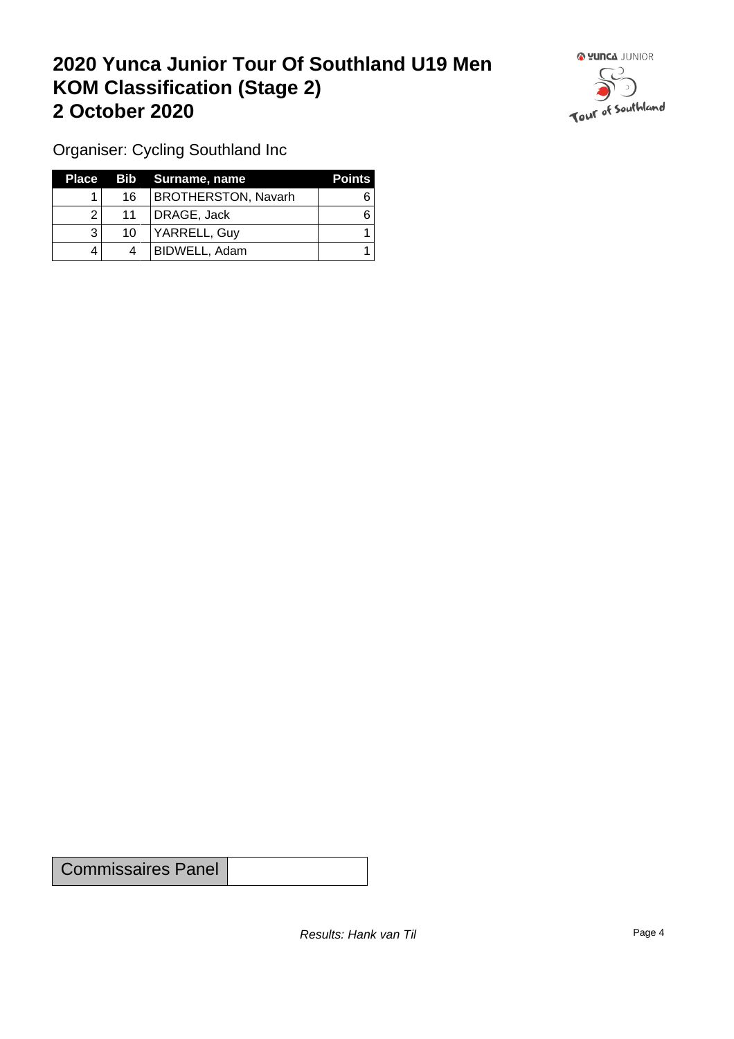## **2020 Yunca Junior Tour Of Southland U19 Men KOM Classification (Stage 2) 2 October 2020**



Organiser: Cycling Southland Inc

| Place |    | Bib Surname, name          | <b>Points</b> |
|-------|----|----------------------------|---------------|
|       | 16 | <b>BROTHERSTON, Navarh</b> |               |
| ົ     | 11 | DRAGE, Jack                |               |
|       | 10 | YARRELL, Guy               |               |
|       | 4  | BIDWELL, Adam              |               |